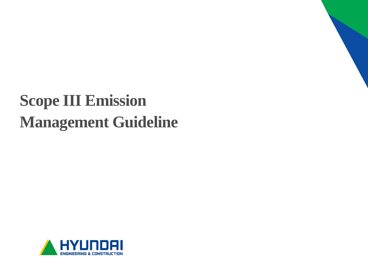# **Scope III Emission Management Guideline**

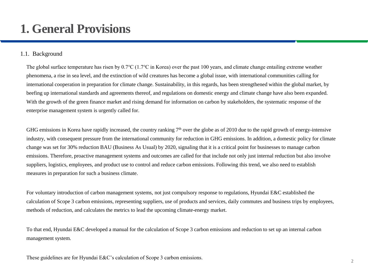#### 1.1. Background

The global surface temperature has risen by 0.7℃ (1.7℃ in Korea) over the past 100 years, and climate change entailing extreme weather phenomena, a rise in sea level, and the extinction of wild creatures has become a global issue, with international communities calling for international cooperation in preparation for climate change. Sustainability, in this regards, has been strengthened within the global market, by beefing up international standards and agreements thereof, and regulations on domestic energy and climate change have also been expanded. With the growth of the green finance market and rising demand for information on carbon by stakeholders, the systematic response of the enterprise management system is urgently called for.

GHG emissions in Korea have rapidly increased, the country ranking  $7<sup>th</sup>$  over the globe as of 2010 due to the rapid growth of energy-intensive industry, with consequent pressure from the international community for reduction in GHG emissions. In addition, a domestic policy for climate change was set for 30% reduction BAU (Business As Usual) by 2020, signaling that it is a critical point for businesses to manage carbon emissions. Therefore, proactive management systems and outcomes are called for that include not only just internal reduction but also involve suppliers, logistics, employees, and product use to control and reduce carbon emissions. Following this trend, we also need to establish measures in preparation for such a business climate.

For voluntary introduction of carbon management systems, not just compulsory response to regulations, Hyundai E&C established the calculation of Scope 3 carbon emissions, representing suppliers, use of products and services, daily commutes and business trips by employees, methods of reduction, and calculates the metrics to lead the upcoming climate-energy market.

To that end, Hyundai E&C developed a manual for the calculation of Scope 3 carbon emissions and reduction to set up an internal carbon management system.

These guidelines are for Hyundai E&C's calculation of Scope 3 carbon emissions.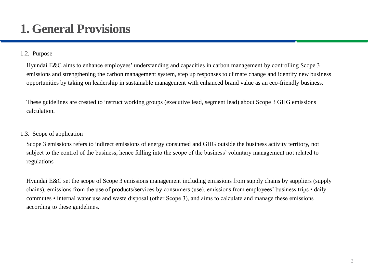### **1. General Provisions**

#### 1.2. Purpose

Hyundai E&C aims to enhance employees' understanding and capacities in carbon management by controlling Scope 3 emissions and strengthening the carbon management system, step up responses to climate change and identify new business opportunities by taking on leadership in sustainable management with enhanced brand value as an eco-friendly business.

These guidelines are created to instruct working groups (executive lead, segment lead) about Scope 3 GHG emissions calculation.

#### 1.3. Scope of application

Scope 3 emissions refers to indirect emissions of energy consumed and GHG outside the business activity territory, not subject to the control of the business, hence falling into the scope of the business' voluntary management not related to regulations

Hyundai E&C set the scope of Scope 3 emissions management including emissions from supply chains by suppliers (supply chains), emissions from the use of products/services by consumers (use), emissions from employees' business trips • daily commutes • internal water use and waste disposal (other Scope 3), and aims to calculate and manage these emissions according to these guidelines.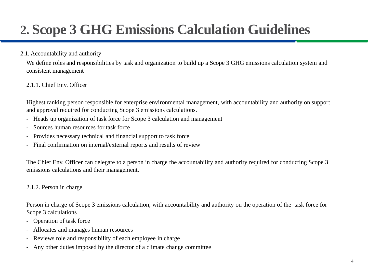#### 2.1. Accountability and authority

We define roles and responsibilities by task and organization to build up a Scope 3 GHG emissions calculation system and consistent management

#### 2.1.1. Chief Env. Officer

Highest ranking person responsible for enterprise environmental management, with accountability and authority on support and approval required for conducting Scope 3 emissions calculations.

- Heads up organization of task force for Scope 3 calculation and management
- Sources human resources for task force
- Provides necessary technical and financial support to task force
- Final confirmation on internal/external reports and results of review

The Chief Env. Officer can delegate to a person in charge the accountability and authority required for conducting Scope 3 emissions calculations and their management.

#### 2.1.2. Person in charge

Person in charge of Scope 3 emissions calculation, with accountability and authority on the operation of the task force for Scope 3 calculations

- Operation of task force
- Allocates and manages human resources
- Reviews role and responsibility of each employee in charge
- Any other duties imposed by the director of a climate change committee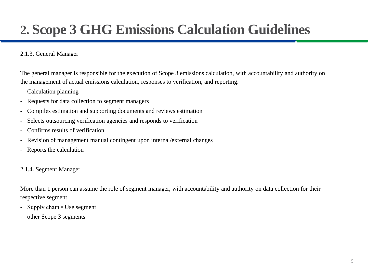#### 2.1.3. General Manager

The general manager is responsible for the execution of Scope 3 emissions calculation, with accountability and authority on the management of actual emissions calculation, responses to verification, and reporting.

- Calculation planning
- Requests for data collection to segment managers
- Compiles estimation and supporting documents and reviews estimation
- Selects outsourcing verification agencies and responds to verification
- Confirms results of verification
- Revision of management manual contingent upon internal/external changes
- Reports the calculation

#### 2.1.4. Segment Manager

More than 1 person can assume the role of segment manager, with accountability and authority on data collection for their respective segment

- Supply chain Use segment
- other Scope 3 segments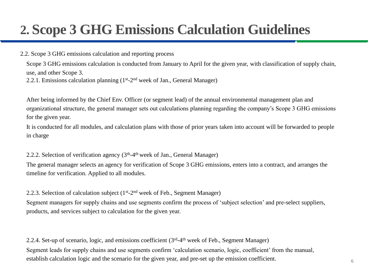#### 2.2. Scope 3 GHG emissions calculation and reporting process

Scope 3 GHG emissions calculation is conducted from January to April for the given year, with classification of supply chain, use, and other Scope 3.

2.2.1. Emissions calculation planning (1<sup>st</sup>-2<sup>nd</sup> week of Jan., General Manager)

After being informed by the Chief Env. Officer (or segment lead) of the annual environmental management plan and organizational structure, the general manager sets out calculations planning regarding the company's Scope 3 GHG emissions for the given year.

It is conducted for all modules, and calculation plans with those of prior years taken into account will be forwarded to people in charge

2.2.2. Selection of verification agency (3<sup>th</sup>-4<sup>th</sup> week of Jan., General Manager)

The general manager selects an agency for verification of Scope 3 GHG emissions, enters into a contract, and arranges the timeline for verification. Applied to all modules.

#### 2.2.3. Selection of calculation subject (1<sup>st</sup>-2<sup>nd</sup> week of Feb., Segment Manager)

Segment managers for supply chains and use segments confirm the process of 'subject selection' and pre-select suppliers, products, and services subject to calculation for the given year.

2.2.4. Set-up of scenario, logic, and emissions coefficient (3<sup>rd</sup>-4<sup>th</sup> week of Feb., Segment Manager) Segment leads for supply chains and use segments confirm 'calculation scenario, logic, coefficient' from the manual, establish calculation logic and the scenario for the given year, and pre-set up the emission coefficient.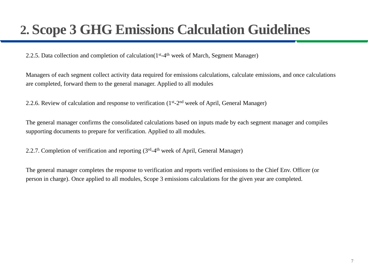2.2.5. Data collection and completion of calculation(1<sup>st</sup>-4<sup>th</sup> week of March, Segment Manager)

Managers of each segment collect activity data required for emissions calculations, calculate emissions, and once calculations are completed, forward them to the general manager. Applied to all modules

2.2.6. Review of calculation and response to verification (1<sup>st</sup>-2<sup>nd</sup> week of April, General Manager)

The general manager confirms the consolidated calculations based on inputs made by each segment manager and compiles supporting documents to prepare for verification. Applied to all modules.

2.2.7. Completion of verification and reporting (3rd-4<sup>th</sup> week of April, General Manager)

The general manager completes the response to verification and reports verified emissions to the Chief Env. Officer (or person in charge). Once applied to all modules, Scope 3 emissions calculations for the given year are completed.